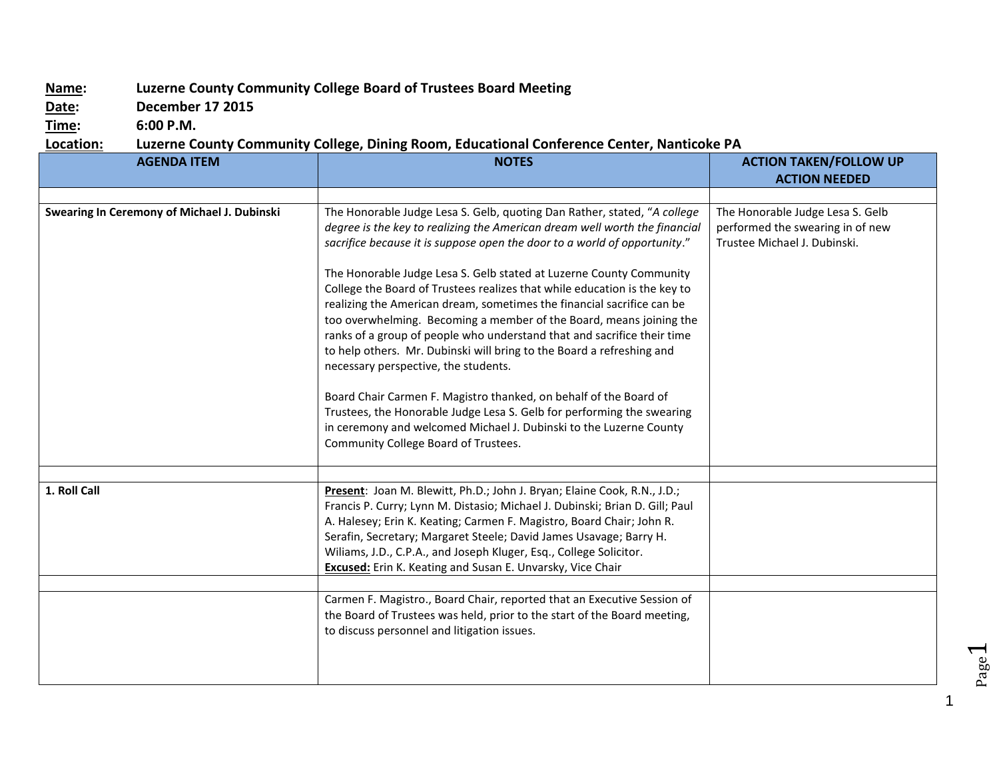## **Name: Luzerne County Community College Board of Trustees Board Meeting**

**Date: December 17 2015**

**Time: 6:00 P.M.**

## **Location: Luzerne County Community College, Dining Room, Educational Conference Center, Nanticoke PA**

| <b>AGENDA ITEM</b>                          | <b>NOTES</b>                                                                                                                                                                                                                                                                                                                                                                                                                                                                                                                                                                                                                                                                                                                                                                                              | <b>ACTION TAKEN/FOLLOW UP</b>                                                                        |
|---------------------------------------------|-----------------------------------------------------------------------------------------------------------------------------------------------------------------------------------------------------------------------------------------------------------------------------------------------------------------------------------------------------------------------------------------------------------------------------------------------------------------------------------------------------------------------------------------------------------------------------------------------------------------------------------------------------------------------------------------------------------------------------------------------------------------------------------------------------------|------------------------------------------------------------------------------------------------------|
|                                             |                                                                                                                                                                                                                                                                                                                                                                                                                                                                                                                                                                                                                                                                                                                                                                                                           | <b>ACTION NEEDED</b>                                                                                 |
|                                             |                                                                                                                                                                                                                                                                                                                                                                                                                                                                                                                                                                                                                                                                                                                                                                                                           |                                                                                                      |
| Swearing In Ceremony of Michael J. Dubinski | The Honorable Judge Lesa S. Gelb, quoting Dan Rather, stated, "A college<br>degree is the key to realizing the American dream well worth the financial<br>sacrifice because it is suppose open the door to a world of opportunity."<br>The Honorable Judge Lesa S. Gelb stated at Luzerne County Community<br>College the Board of Trustees realizes that while education is the key to<br>realizing the American dream, sometimes the financial sacrifice can be<br>too overwhelming. Becoming a member of the Board, means joining the<br>ranks of a group of people who understand that and sacrifice their time<br>to help others. Mr. Dubinski will bring to the Board a refreshing and<br>necessary perspective, the students.<br>Board Chair Carmen F. Magistro thanked, on behalf of the Board of | The Honorable Judge Lesa S. Gelb<br>performed the swearing in of new<br>Trustee Michael J. Dubinski. |
|                                             | Trustees, the Honorable Judge Lesa S. Gelb for performing the swearing<br>in ceremony and welcomed Michael J. Dubinski to the Luzerne County<br>Community College Board of Trustees.                                                                                                                                                                                                                                                                                                                                                                                                                                                                                                                                                                                                                      |                                                                                                      |
| 1. Roll Call                                | Present: Joan M. Blewitt, Ph.D.; John J. Bryan; Elaine Cook, R.N., J.D.;<br>Francis P. Curry; Lynn M. Distasio; Michael J. Dubinski; Brian D. Gill; Paul<br>A. Halesey; Erin K. Keating; Carmen F. Magistro, Board Chair; John R.<br>Serafin, Secretary; Margaret Steele; David James Usavage; Barry H.<br>Wiliams, J.D., C.P.A., and Joseph Kluger, Esq., College Solicitor.<br><b>Excused:</b> Erin K. Keating and Susan E. Unvarsky, Vice Chair                                                                                                                                                                                                                                                                                                                                                        |                                                                                                      |
|                                             |                                                                                                                                                                                                                                                                                                                                                                                                                                                                                                                                                                                                                                                                                                                                                                                                           |                                                                                                      |
|                                             | Carmen F. Magistro., Board Chair, reported that an Executive Session of<br>the Board of Trustees was held, prior to the start of the Board meeting,<br>to discuss personnel and litigation issues.                                                                                                                                                                                                                                                                                                                                                                                                                                                                                                                                                                                                        |                                                                                                      |
|                                             |                                                                                                                                                                                                                                                                                                                                                                                                                                                                                                                                                                                                                                                                                                                                                                                                           |                                                                                                      |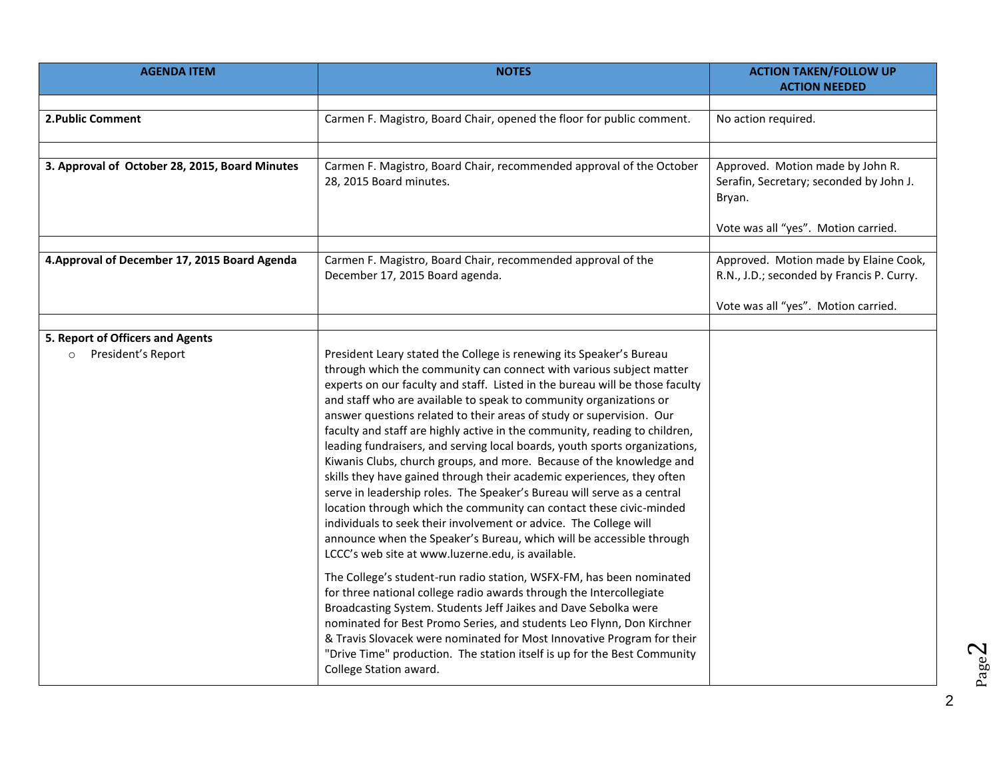| <b>AGENDA ITEM</b>                                                | <b>NOTES</b>                                                                                                                                                                                                                                                                                                                                                                                                                                                                                                                                                                                                                                                                                                                                                                                                                                                                                                                                                                                                                                                                                                                                                                                                                                                                                                                                                                                                                                                                                                          | <b>ACTION TAKEN/FOLLOW UP</b>                                                                                             |
|-------------------------------------------------------------------|-----------------------------------------------------------------------------------------------------------------------------------------------------------------------------------------------------------------------------------------------------------------------------------------------------------------------------------------------------------------------------------------------------------------------------------------------------------------------------------------------------------------------------------------------------------------------------------------------------------------------------------------------------------------------------------------------------------------------------------------------------------------------------------------------------------------------------------------------------------------------------------------------------------------------------------------------------------------------------------------------------------------------------------------------------------------------------------------------------------------------------------------------------------------------------------------------------------------------------------------------------------------------------------------------------------------------------------------------------------------------------------------------------------------------------------------------------------------------------------------------------------------------|---------------------------------------------------------------------------------------------------------------------------|
|                                                                   |                                                                                                                                                                                                                                                                                                                                                                                                                                                                                                                                                                                                                                                                                                                                                                                                                                                                                                                                                                                                                                                                                                                                                                                                                                                                                                                                                                                                                                                                                                                       | <b>ACTION NEEDED</b>                                                                                                      |
|                                                                   |                                                                                                                                                                                                                                                                                                                                                                                                                                                                                                                                                                                                                                                                                                                                                                                                                                                                                                                                                                                                                                                                                                                                                                                                                                                                                                                                                                                                                                                                                                                       |                                                                                                                           |
| 2. Public Comment                                                 | Carmen F. Magistro, Board Chair, opened the floor for public comment.                                                                                                                                                                                                                                                                                                                                                                                                                                                                                                                                                                                                                                                                                                                                                                                                                                                                                                                                                                                                                                                                                                                                                                                                                                                                                                                                                                                                                                                 | No action required.                                                                                                       |
|                                                                   |                                                                                                                                                                                                                                                                                                                                                                                                                                                                                                                                                                                                                                                                                                                                                                                                                                                                                                                                                                                                                                                                                                                                                                                                                                                                                                                                                                                                                                                                                                                       |                                                                                                                           |
| 3. Approval of October 28, 2015, Board Minutes                    | Carmen F. Magistro, Board Chair, recommended approval of the October<br>28, 2015 Board minutes.                                                                                                                                                                                                                                                                                                                                                                                                                                                                                                                                                                                                                                                                                                                                                                                                                                                                                                                                                                                                                                                                                                                                                                                                                                                                                                                                                                                                                       | Approved. Motion made by John R.<br>Serafin, Secretary; seconded by John J.<br>Bryan.                                     |
|                                                                   |                                                                                                                                                                                                                                                                                                                                                                                                                                                                                                                                                                                                                                                                                                                                                                                                                                                                                                                                                                                                                                                                                                                                                                                                                                                                                                                                                                                                                                                                                                                       | Vote was all "yes". Motion carried.                                                                                       |
| 4. Approval of December 17, 2015 Board Agenda                     | Carmen F. Magistro, Board Chair, recommended approval of the<br>December 17, 2015 Board agenda.                                                                                                                                                                                                                                                                                                                                                                                                                                                                                                                                                                                                                                                                                                                                                                                                                                                                                                                                                                                                                                                                                                                                                                                                                                                                                                                                                                                                                       | Approved. Motion made by Elaine Cook,<br>R.N., J.D.; seconded by Francis P. Curry.<br>Vote was all "yes". Motion carried. |
|                                                                   |                                                                                                                                                                                                                                                                                                                                                                                                                                                                                                                                                                                                                                                                                                                                                                                                                                                                                                                                                                                                                                                                                                                                                                                                                                                                                                                                                                                                                                                                                                                       |                                                                                                                           |
| 5. Report of Officers and Agents<br>President's Report<br>$\circ$ | President Leary stated the College is renewing its Speaker's Bureau<br>through which the community can connect with various subject matter<br>experts on our faculty and staff. Listed in the bureau will be those faculty<br>and staff who are available to speak to community organizations or<br>answer questions related to their areas of study or supervision. Our<br>faculty and staff are highly active in the community, reading to children,<br>leading fundraisers, and serving local boards, youth sports organizations,<br>Kiwanis Clubs, church groups, and more. Because of the knowledge and<br>skills they have gained through their academic experiences, they often<br>serve in leadership roles. The Speaker's Bureau will serve as a central<br>location through which the community can contact these civic-minded<br>individuals to seek their involvement or advice. The College will<br>announce when the Speaker's Bureau, which will be accessible through<br>LCCC's web site at www.luzerne.edu, is available.<br>The College's student-run radio station, WSFX-FM, has been nominated<br>for three national college radio awards through the Intercollegiate<br>Broadcasting System. Students Jeff Jaikes and Dave Sebolka were<br>nominated for Best Promo Series, and students Leo Flynn, Don Kirchner<br>& Travis Slovacek were nominated for Most Innovative Program for their<br>"Drive Time" production. The station itself is up for the Best Community<br>College Station award. |                                                                                                                           |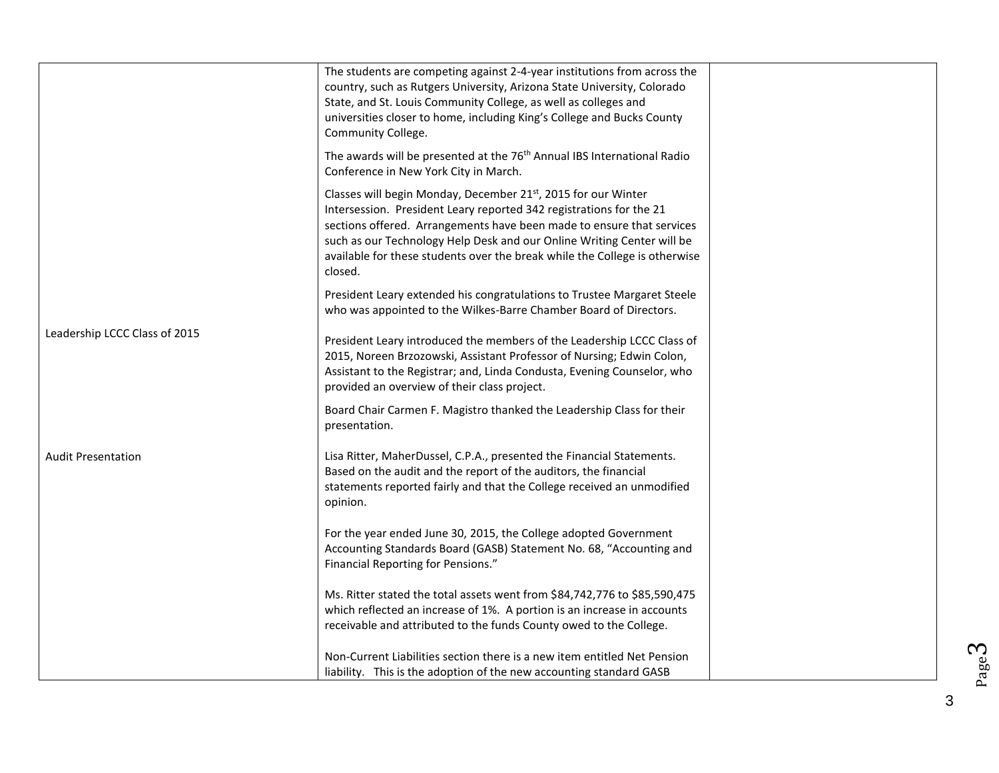|                               | The students are competing against 2-4-year institutions from across the<br>country, such as Rutgers University, Arizona State University, Colorado<br>State, and St. Louis Community College, as well as colleges and<br>universities closer to home, including King's College and Bucks County<br>Community College.                                                                        |  |
|-------------------------------|-----------------------------------------------------------------------------------------------------------------------------------------------------------------------------------------------------------------------------------------------------------------------------------------------------------------------------------------------------------------------------------------------|--|
|                               | The awards will be presented at the 76 <sup>th</sup> Annual IBS International Radio<br>Conference in New York City in March.                                                                                                                                                                                                                                                                  |  |
|                               | Classes will begin Monday, December 21 <sup>st</sup> , 2015 for our Winter<br>Intersession. President Leary reported 342 registrations for the 21<br>sections offered. Arrangements have been made to ensure that services<br>such as our Technology Help Desk and our Online Writing Center will be<br>available for these students over the break while the College is otherwise<br>closed. |  |
|                               | President Leary extended his congratulations to Trustee Margaret Steele<br>who was appointed to the Wilkes-Barre Chamber Board of Directors.                                                                                                                                                                                                                                                  |  |
| Leadership LCCC Class of 2015 | President Leary introduced the members of the Leadership LCCC Class of<br>2015, Noreen Brzozowski, Assistant Professor of Nursing; Edwin Colon,<br>Assistant to the Registrar; and, Linda Condusta, Evening Counselor, who<br>provided an overview of their class project.                                                                                                                    |  |
|                               | Board Chair Carmen F. Magistro thanked the Leadership Class for their<br>presentation.                                                                                                                                                                                                                                                                                                        |  |
| <b>Audit Presentation</b>     | Lisa Ritter, MaherDussel, C.P.A., presented the Financial Statements.<br>Based on the audit and the report of the auditors, the financial<br>statements reported fairly and that the College received an unmodified<br>opinion.                                                                                                                                                               |  |
|                               | For the year ended June 30, 2015, the College adopted Government<br>Accounting Standards Board (GASB) Statement No. 68, "Accounting and<br>Financial Reporting for Pensions."                                                                                                                                                                                                                 |  |
|                               | Ms. Ritter stated the total assets went from \$84,742,776 to \$85,590,475<br>which reflected an increase of 1%. A portion is an increase in accounts<br>receivable and attributed to the funds County owed to the College.                                                                                                                                                                    |  |
|                               | Non-Current Liabilities section there is a new item entitled Net Pension<br>liability. This is the adoption of the new accounting standard GASB                                                                                                                                                                                                                                               |  |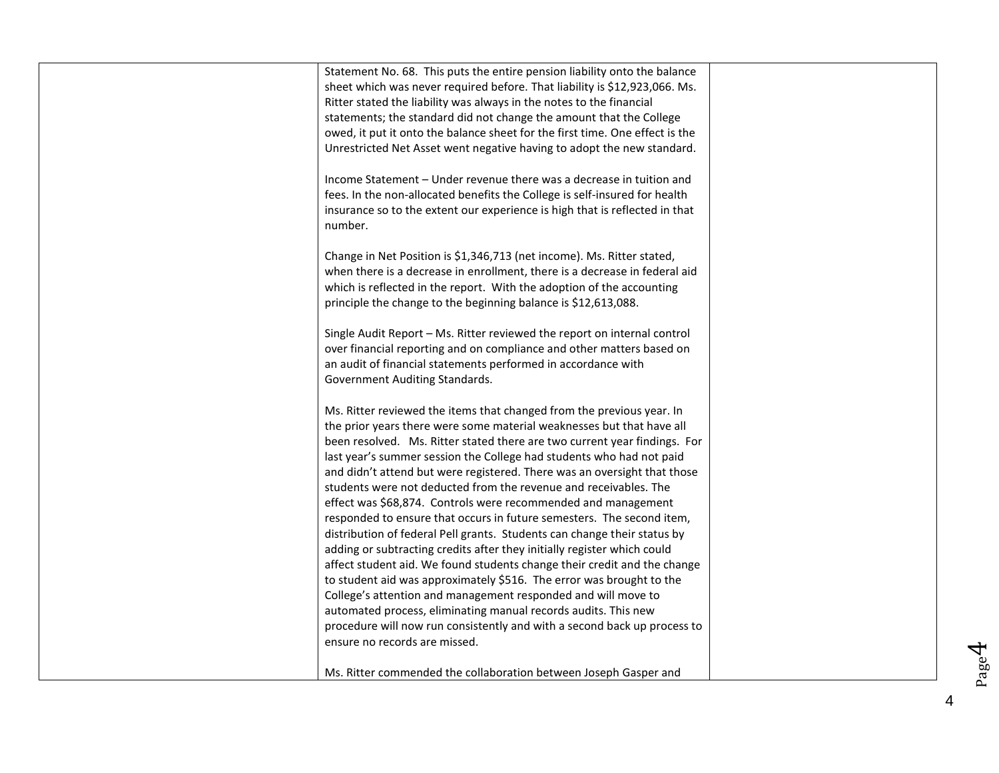| Statement No. 68. This puts the entire pension liability onto the balance<br>sheet which was never required before. That liability is \$12,923,066. Ms.<br>Ritter stated the liability was always in the notes to the financial<br>statements; the standard did not change the amount that the College<br>owed, it put it onto the balance sheet for the first time. One effect is the<br>Unrestricted Net Asset went negative having to adopt the new standard.<br>Income Statement – Under revenue there was a decrease in tuition and<br>fees. In the non-allocated benefits the College is self-insured for health<br>insurance so to the extent our experience is high that is reflected in that<br>number.<br>Change in Net Position is \$1,346,713 (net income). Ms. Ritter stated,<br>when there is a decrease in enrollment, there is a decrease in federal aid<br>which is reflected in the report. With the adoption of the accounting<br>principle the change to the beginning balance is \$12,613,088.                                                                                                                                      |  |
|----------------------------------------------------------------------------------------------------------------------------------------------------------------------------------------------------------------------------------------------------------------------------------------------------------------------------------------------------------------------------------------------------------------------------------------------------------------------------------------------------------------------------------------------------------------------------------------------------------------------------------------------------------------------------------------------------------------------------------------------------------------------------------------------------------------------------------------------------------------------------------------------------------------------------------------------------------------------------------------------------------------------------------------------------------------------------------------------------------------------------------------------------------|--|
| Single Audit Report - Ms. Ritter reviewed the report on internal control<br>over financial reporting and on compliance and other matters based on<br>an audit of financial statements performed in accordance with<br>Government Auditing Standards.                                                                                                                                                                                                                                                                                                                                                                                                                                                                                                                                                                                                                                                                                                                                                                                                                                                                                                     |  |
| Ms. Ritter reviewed the items that changed from the previous year. In<br>the prior years there were some material weaknesses but that have all<br>been resolved. Ms. Ritter stated there are two current year findings. For<br>last year's summer session the College had students who had not paid<br>and didn't attend but were registered. There was an oversight that those<br>students were not deducted from the revenue and receivables. The<br>effect was \$68,874. Controls were recommended and management<br>responded to ensure that occurs in future semesters. The second item,<br>distribution of federal Pell grants. Students can change their status by<br>adding or subtracting credits after they initially register which could<br>affect student aid. We found students change their credit and the change<br>to student aid was approximately \$516. The error was brought to the<br>College's attention and management responded and will move to<br>automated process, eliminating manual records audits. This new<br>procedure will now run consistently and with a second back up process to<br>ensure no records are missed. |  |
| Ms. Ritter commended the collaboration between Joseph Gasper and                                                                                                                                                                                                                                                                                                                                                                                                                                                                                                                                                                                                                                                                                                                                                                                                                                                                                                                                                                                                                                                                                         |  |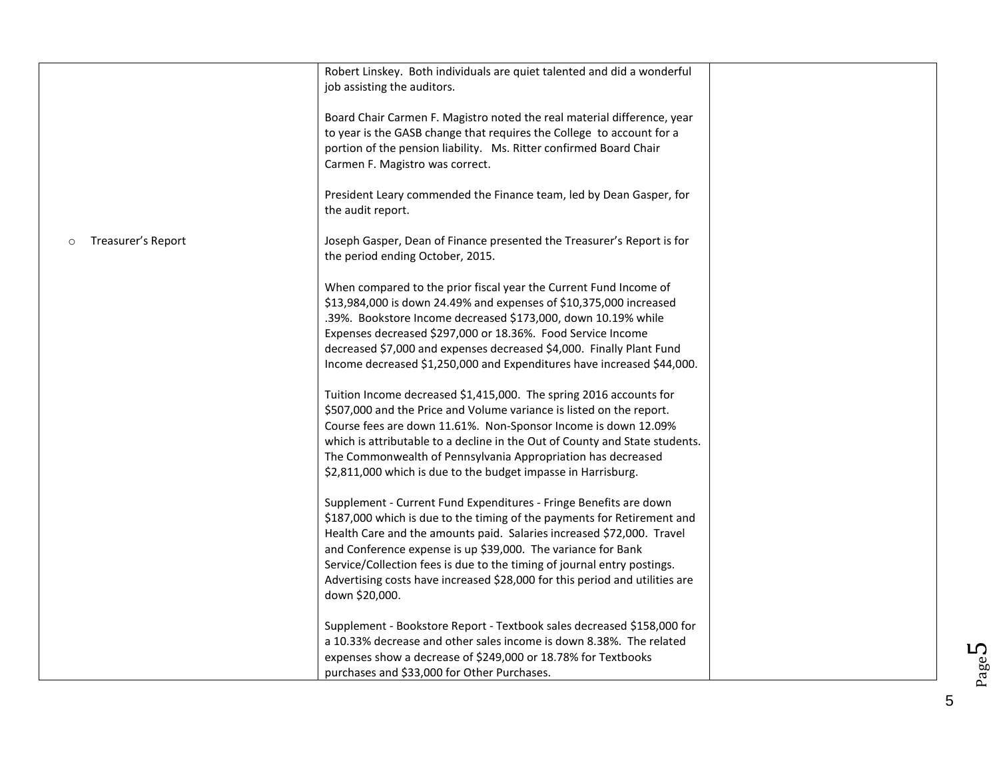|                               | Robert Linskey. Both individuals are quiet talented and did a wonderful<br>job assisting the auditors.                                                                                                                                                                                                                                                                                                                                                            |  |
|-------------------------------|-------------------------------------------------------------------------------------------------------------------------------------------------------------------------------------------------------------------------------------------------------------------------------------------------------------------------------------------------------------------------------------------------------------------------------------------------------------------|--|
|                               | Board Chair Carmen F. Magistro noted the real material difference, year<br>to year is the GASB change that requires the College to account for a<br>portion of the pension liability. Ms. Ritter confirmed Board Chair<br>Carmen F. Magistro was correct.                                                                                                                                                                                                         |  |
|                               | President Leary commended the Finance team, led by Dean Gasper, for<br>the audit report.                                                                                                                                                                                                                                                                                                                                                                          |  |
| Treasurer's Report<br>$\circ$ | Joseph Gasper, Dean of Finance presented the Treasurer's Report is for<br>the period ending October, 2015.                                                                                                                                                                                                                                                                                                                                                        |  |
|                               | When compared to the prior fiscal year the Current Fund Income of<br>\$13,984,000 is down 24.49% and expenses of \$10,375,000 increased<br>.39%. Bookstore Income decreased \$173,000, down 10.19% while<br>Expenses decreased \$297,000 or 18.36%. Food Service Income<br>decreased \$7,000 and expenses decreased \$4,000. Finally Plant Fund<br>Income decreased \$1,250,000 and Expenditures have increased \$44,000.                                         |  |
|                               | Tuition Income decreased \$1,415,000. The spring 2016 accounts for<br>\$507,000 and the Price and Volume variance is listed on the report.<br>Course fees are down 11.61%. Non-Sponsor Income is down 12.09%<br>which is attributable to a decline in the Out of County and State students.<br>The Commonwealth of Pennsylvania Appropriation has decreased<br>\$2,811,000 which is due to the budget impasse in Harrisburg.                                      |  |
|                               | Supplement - Current Fund Expenditures - Fringe Benefits are down<br>\$187,000 which is due to the timing of the payments for Retirement and<br>Health Care and the amounts paid. Salaries increased \$72,000. Travel<br>and Conference expense is up \$39,000. The variance for Bank<br>Service/Collection fees is due to the timing of journal entry postings.<br>Advertising costs have increased \$28,000 for this period and utilities are<br>down \$20,000. |  |
|                               | Supplement - Bookstore Report - Textbook sales decreased \$158,000 for<br>a 10.33% decrease and other sales income is down 8.38%. The related<br>expenses show a decrease of \$249,000 or 18.78% for Textbooks<br>purchases and \$33,000 for Other Purchases.                                                                                                                                                                                                     |  |

Page 5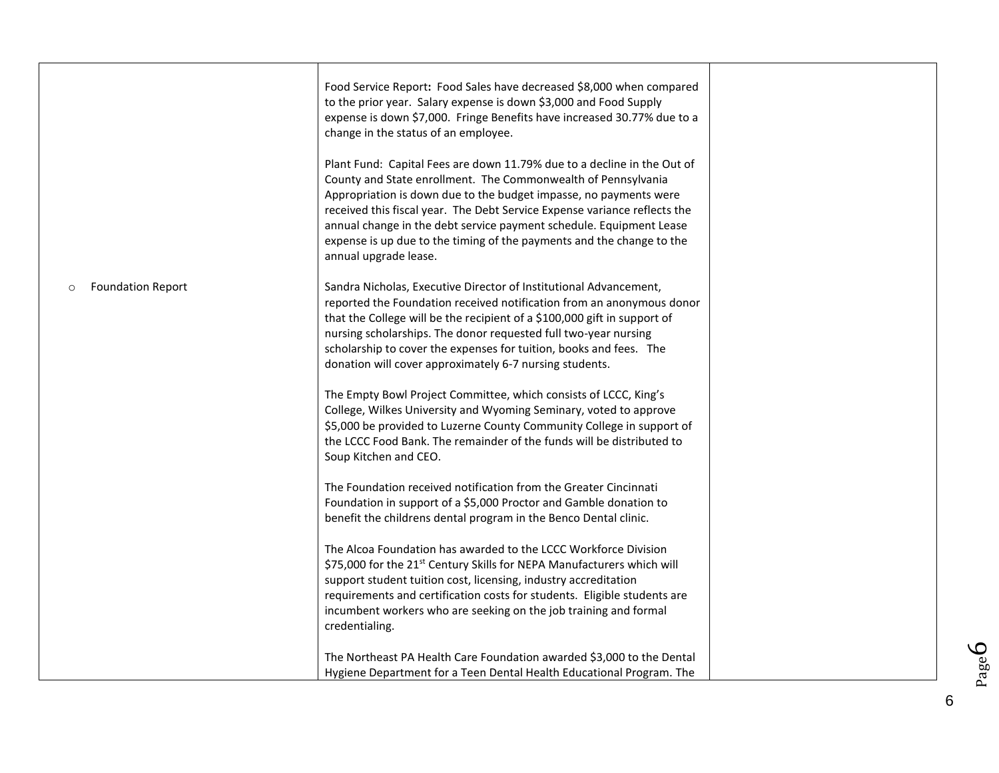|                                     | Food Service Report: Food Sales have decreased \$8,000 when compared<br>to the prior year. Salary expense is down \$3,000 and Food Supply<br>expense is down \$7,000. Fringe Benefits have increased 30.77% due to a<br>change in the status of an employee.<br>Plant Fund: Capital Fees are down 11.79% due to a decline in the Out of<br>County and State enrollment. The Commonwealth of Pennsylvania<br>Appropriation is down due to the budget impasse, no payments were<br>received this fiscal year. The Debt Service Expense variance reflects the<br>annual change in the debt service payment schedule. Equipment Lease<br>expense is up due to the timing of the payments and the change to the<br>annual upgrade lease. |  |
|-------------------------------------|-------------------------------------------------------------------------------------------------------------------------------------------------------------------------------------------------------------------------------------------------------------------------------------------------------------------------------------------------------------------------------------------------------------------------------------------------------------------------------------------------------------------------------------------------------------------------------------------------------------------------------------------------------------------------------------------------------------------------------------|--|
| <b>Foundation Report</b><br>$\circ$ | Sandra Nicholas, Executive Director of Institutional Advancement,<br>reported the Foundation received notification from an anonymous donor<br>that the College will be the recipient of a \$100,000 gift in support of<br>nursing scholarships. The donor requested full two-year nursing<br>scholarship to cover the expenses for tuition, books and fees. The<br>donation will cover approximately 6-7 nursing students.                                                                                                                                                                                                                                                                                                          |  |
|                                     | The Empty Bowl Project Committee, which consists of LCCC, King's<br>College, Wilkes University and Wyoming Seminary, voted to approve<br>\$5,000 be provided to Luzerne County Community College in support of<br>the LCCC Food Bank. The remainder of the funds will be distributed to<br>Soup Kitchen and CEO.                                                                                                                                                                                                                                                                                                                                                                                                                    |  |
|                                     | The Foundation received notification from the Greater Cincinnati<br>Foundation in support of a \$5,000 Proctor and Gamble donation to<br>benefit the childrens dental program in the Benco Dental clinic.                                                                                                                                                                                                                                                                                                                                                                                                                                                                                                                           |  |
|                                     | The Alcoa Foundation has awarded to the LCCC Workforce Division<br>\$75,000 for the 21 <sup>st</sup> Century Skills for NEPA Manufacturers which will<br>support student tuition cost, licensing, industry accreditation<br>requirements and certification costs for students. Eligible students are<br>incumbent workers who are seeking on the job training and formal<br>credentialing.                                                                                                                                                                                                                                                                                                                                          |  |
|                                     | The Northeast PA Health Care Foundation awarded \$3,000 to the Dental<br>Hygiene Department for a Teen Dental Health Educational Program. The                                                                                                                                                                                                                                                                                                                                                                                                                                                                                                                                                                                       |  |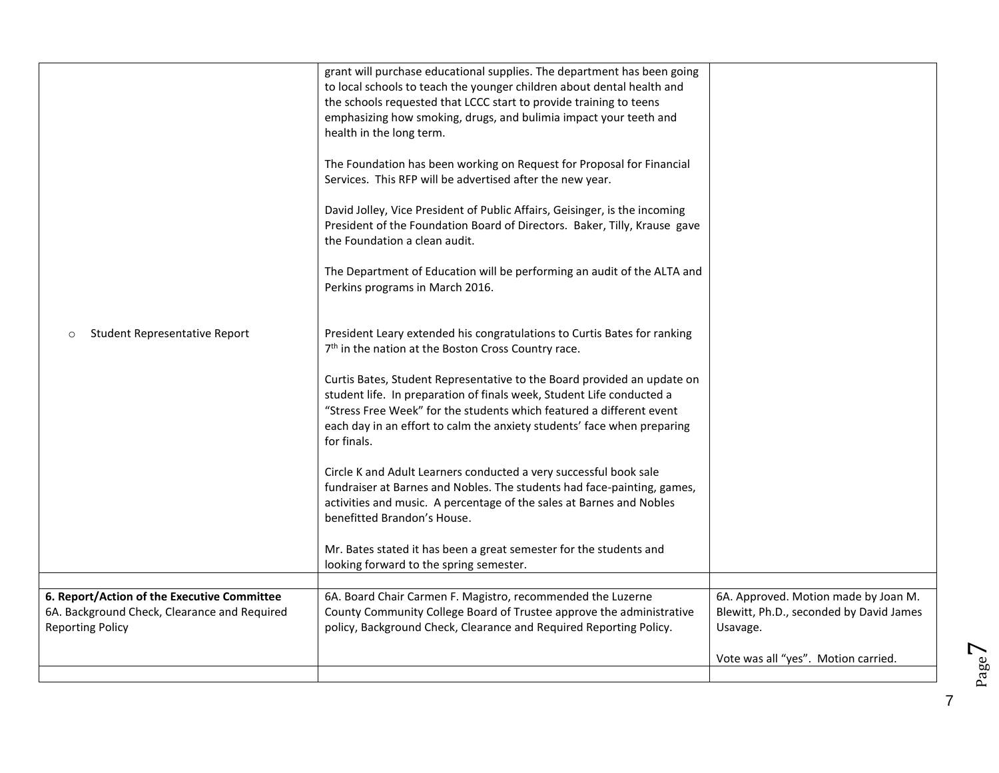| Student Representative Report<br>$\circ$                                                                               | grant will purchase educational supplies. The department has been going<br>to local schools to teach the younger children about dental health and<br>the schools requested that LCCC start to provide training to teens<br>emphasizing how smoking, drugs, and bulimia impact your teeth and<br>health in the long term.<br>The Foundation has been working on Request for Proposal for Financial<br>Services. This RFP will be advertised after the new year.<br>David Jolley, Vice President of Public Affairs, Geisinger, is the incoming<br>President of the Foundation Board of Directors. Baker, Tilly, Krause gave<br>the Foundation a clean audit.<br>The Department of Education will be performing an audit of the ALTA and<br>Perkins programs in March 2016.<br>President Leary extended his congratulations to Curtis Bates for ranking<br>7 <sup>th</sup> in the nation at the Boston Cross Country race.<br>Curtis Bates, Student Representative to the Board provided an update on<br>student life. In preparation of finals week, Student Life conducted a<br>"Stress Free Week" for the students which featured a different event<br>each day in an effort to calm the anxiety students' face when preparing<br>for finals.<br>Circle K and Adult Learners conducted a very successful book sale<br>fundraiser at Barnes and Nobles. The students had face-painting, games,<br>activities and music. A percentage of the sales at Barnes and Nobles<br>benefitted Brandon's House.<br>Mr. Bates stated it has been a great semester for the students and<br>looking forward to the spring semester. |                                                                                             |
|------------------------------------------------------------------------------------------------------------------------|-----------------------------------------------------------------------------------------------------------------------------------------------------------------------------------------------------------------------------------------------------------------------------------------------------------------------------------------------------------------------------------------------------------------------------------------------------------------------------------------------------------------------------------------------------------------------------------------------------------------------------------------------------------------------------------------------------------------------------------------------------------------------------------------------------------------------------------------------------------------------------------------------------------------------------------------------------------------------------------------------------------------------------------------------------------------------------------------------------------------------------------------------------------------------------------------------------------------------------------------------------------------------------------------------------------------------------------------------------------------------------------------------------------------------------------------------------------------------------------------------------------------------------------------------------------------------------------------------------------------------|---------------------------------------------------------------------------------------------|
|                                                                                                                        |                                                                                                                                                                                                                                                                                                                                                                                                                                                                                                                                                                                                                                                                                                                                                                                                                                                                                                                                                                                                                                                                                                                                                                                                                                                                                                                                                                                                                                                                                                                                                                                                                       |                                                                                             |
| 6. Report/Action of the Executive Committee<br>6A. Background Check, Clearance and Required<br><b>Reporting Policy</b> | 6A. Board Chair Carmen F. Magistro, recommended the Luzerne<br>County Community College Board of Trustee approve the administrative<br>policy, Background Check, Clearance and Required Reporting Policy.                                                                                                                                                                                                                                                                                                                                                                                                                                                                                                                                                                                                                                                                                                                                                                                                                                                                                                                                                                                                                                                                                                                                                                                                                                                                                                                                                                                                             | 6A. Approved. Motion made by Joan M.<br>Blewitt, Ph.D., seconded by David James<br>Usavage. |
|                                                                                                                        |                                                                                                                                                                                                                                                                                                                                                                                                                                                                                                                                                                                                                                                                                                                                                                                                                                                                                                                                                                                                                                                                                                                                                                                                                                                                                                                                                                                                                                                                                                                                                                                                                       | Vote was all "yes". Motion carried.                                                         |
|                                                                                                                        |                                                                                                                                                                                                                                                                                                                                                                                                                                                                                                                                                                                                                                                                                                                                                                                                                                                                                                                                                                                                                                                                                                                                                                                                                                                                                                                                                                                                                                                                                                                                                                                                                       |                                                                                             |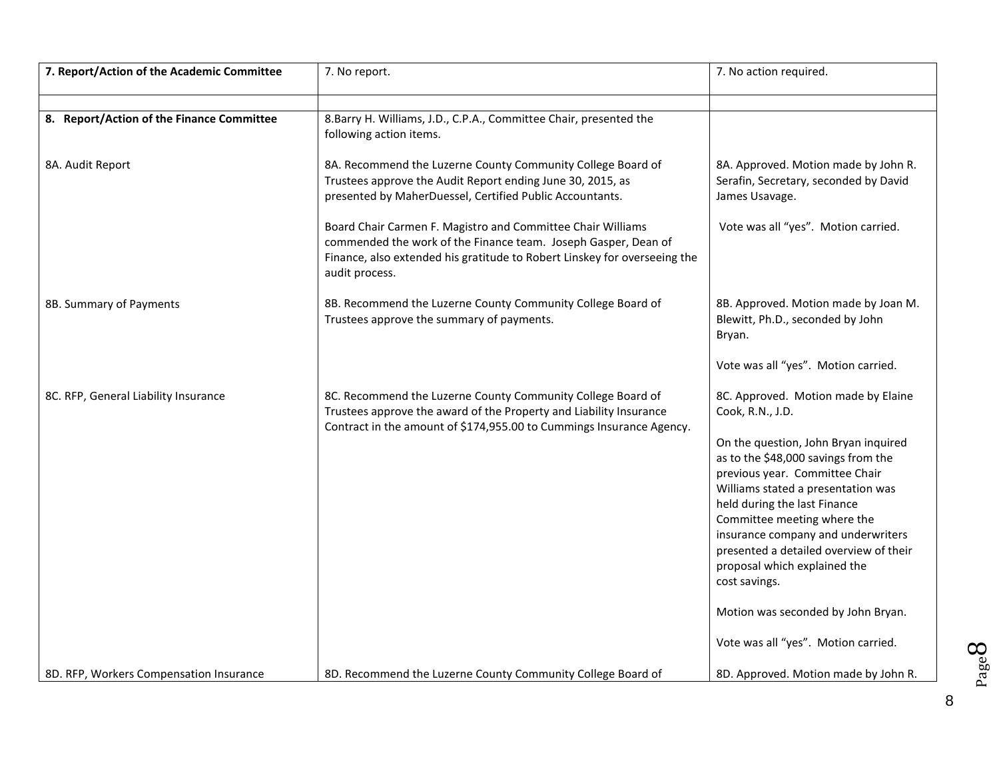| 7. Report/Action of the Academic Committee | 7. No report.                                                                                                                                                                                                                | 7. No action required.                                                                                                                              |
|--------------------------------------------|------------------------------------------------------------------------------------------------------------------------------------------------------------------------------------------------------------------------------|-----------------------------------------------------------------------------------------------------------------------------------------------------|
|                                            |                                                                                                                                                                                                                              |                                                                                                                                                     |
| 8. Report/Action of the Finance Committee  | 8. Barry H. Williams, J.D., C.P.A., Committee Chair, presented the<br>following action items.                                                                                                                                |                                                                                                                                                     |
| 8A. Audit Report                           | 8A. Recommend the Luzerne County Community College Board of<br>Trustees approve the Audit Report ending June 30, 2015, as<br>presented by MaherDuessel, Certified Public Accountants.                                        | 8A. Approved. Motion made by John R.<br>Serafin, Secretary, seconded by David<br>James Usavage.                                                     |
|                                            | Board Chair Carmen F. Magistro and Committee Chair Williams<br>commended the work of the Finance team. Joseph Gasper, Dean of<br>Finance, also extended his gratitude to Robert Linskey for overseeing the<br>audit process. | Vote was all "yes". Motion carried.                                                                                                                 |
| 8B. Summary of Payments                    | 8B. Recommend the Luzerne County Community College Board of<br>Trustees approve the summary of payments.                                                                                                                     | 8B. Approved. Motion made by Joan M.<br>Blewitt, Ph.D., seconded by John<br>Bryan.                                                                  |
|                                            |                                                                                                                                                                                                                              | Vote was all "yes". Motion carried.                                                                                                                 |
| 8C. RFP, General Liability Insurance       | 8C. Recommend the Luzerne County Community College Board of<br>Trustees approve the award of the Property and Liability Insurance<br>Contract in the amount of \$174,955.00 to Cummings Insurance Agency.                    | 8C. Approved. Motion made by Elaine<br>Cook, R.N., J.D.                                                                                             |
|                                            |                                                                                                                                                                                                                              | On the question, John Bryan inquired<br>as to the \$48,000 savings from the<br>previous year. Committee Chair<br>Williams stated a presentation was |
|                                            |                                                                                                                                                                                                                              | held during the last Finance<br>Committee meeting where the<br>insurance company and underwriters<br>presented a detailed overview of their         |
|                                            |                                                                                                                                                                                                                              | proposal which explained the<br>cost savings.                                                                                                       |
|                                            |                                                                                                                                                                                                                              | Motion was seconded by John Bryan.                                                                                                                  |
|                                            |                                                                                                                                                                                                                              | Vote was all "yes". Motion carried.                                                                                                                 |
| 8D. RFP, Workers Compensation Insurance    | 8D. Recommend the Luzerne County Community College Board of                                                                                                                                                                  | 8D. Approved. Motion made by John R.                                                                                                                |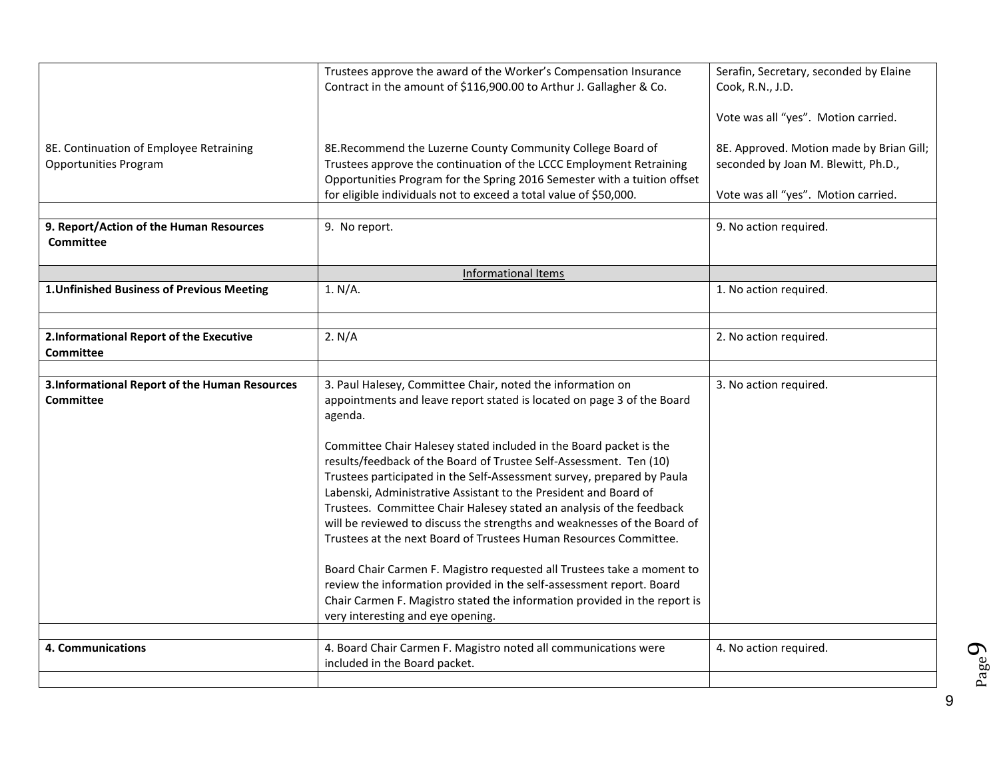|                                                                         | Trustees approve the award of the Worker's Compensation Insurance<br>Contract in the amount of \$116,900.00 to Arthur J. Gallagher & Co.                                                                                                                                                                                                                                                                                                                                                                                                                                                                                                                           | Serafin, Secretary, seconded by Elaine<br>Cook, R.N., J.D.                                                             |
|-------------------------------------------------------------------------|--------------------------------------------------------------------------------------------------------------------------------------------------------------------------------------------------------------------------------------------------------------------------------------------------------------------------------------------------------------------------------------------------------------------------------------------------------------------------------------------------------------------------------------------------------------------------------------------------------------------------------------------------------------------|------------------------------------------------------------------------------------------------------------------------|
|                                                                         |                                                                                                                                                                                                                                                                                                                                                                                                                                                                                                                                                                                                                                                                    | Vote was all "yes". Motion carried.                                                                                    |
| 8E. Continuation of Employee Retraining<br><b>Opportunities Program</b> | 8E.Recommend the Luzerne County Community College Board of<br>Trustees approve the continuation of the LCCC Employment Retraining<br>Opportunities Program for the Spring 2016 Semester with a tuition offset<br>for eligible individuals not to exceed a total value of \$50,000.                                                                                                                                                                                                                                                                                                                                                                                 | 8E. Approved. Motion made by Brian Gill;<br>seconded by Joan M. Blewitt, Ph.D.,<br>Vote was all "yes". Motion carried. |
|                                                                         |                                                                                                                                                                                                                                                                                                                                                                                                                                                                                                                                                                                                                                                                    |                                                                                                                        |
| 9. Report/Action of the Human Resources<br><b>Committee</b>             | 9. No report.                                                                                                                                                                                                                                                                                                                                                                                                                                                                                                                                                                                                                                                      | 9. No action required.                                                                                                 |
|                                                                         | <b>Informational Items</b>                                                                                                                                                                                                                                                                                                                                                                                                                                                                                                                                                                                                                                         |                                                                                                                        |
| 1. Unfinished Business of Previous Meeting                              | 1. N/A.                                                                                                                                                                                                                                                                                                                                                                                                                                                                                                                                                                                                                                                            | 1. No action required.                                                                                                 |
|                                                                         |                                                                                                                                                                                                                                                                                                                                                                                                                                                                                                                                                                                                                                                                    |                                                                                                                        |
| 2.Informational Report of the Executive<br><b>Committee</b>             | 2. N/A                                                                                                                                                                                                                                                                                                                                                                                                                                                                                                                                                                                                                                                             | 2. No action required.                                                                                                 |
|                                                                         |                                                                                                                                                                                                                                                                                                                                                                                                                                                                                                                                                                                                                                                                    |                                                                                                                        |
| 3.Informational Report of the Human Resources<br><b>Committee</b>       | 3. Paul Halesey, Committee Chair, noted the information on<br>appointments and leave report stated is located on page 3 of the Board<br>agenda.<br>Committee Chair Halesey stated included in the Board packet is the<br>results/feedback of the Board of Trustee Self-Assessment. Ten (10)<br>Trustees participated in the Self-Assessment survey, prepared by Paula<br>Labenski, Administrative Assistant to the President and Board of<br>Trustees. Committee Chair Halesey stated an analysis of the feedback<br>will be reviewed to discuss the strengths and weaknesses of the Board of<br>Trustees at the next Board of Trustees Human Resources Committee. | 3. No action required.                                                                                                 |
|                                                                         | Board Chair Carmen F. Magistro requested all Trustees take a moment to<br>review the information provided in the self-assessment report. Board<br>Chair Carmen F. Magistro stated the information provided in the report is<br>very interesting and eye opening.                                                                                                                                                                                                                                                                                                                                                                                                   |                                                                                                                        |
|                                                                         |                                                                                                                                                                                                                                                                                                                                                                                                                                                                                                                                                                                                                                                                    |                                                                                                                        |
| 4. Communications                                                       | 4. Board Chair Carmen F. Magistro noted all communications were<br>included in the Board packet.                                                                                                                                                                                                                                                                                                                                                                                                                                                                                                                                                                   | 4. No action required.                                                                                                 |
|                                                                         |                                                                                                                                                                                                                                                                                                                                                                                                                                                                                                                                                                                                                                                                    |                                                                                                                        |